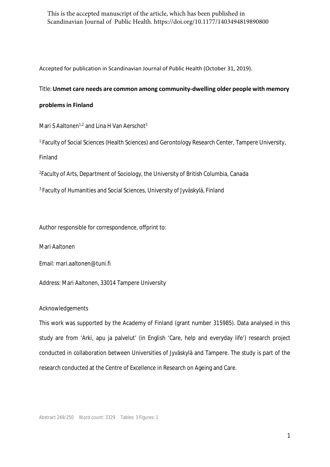This is the accepted manuscript of the article, which has been published in Scandinavian Journal of Public Health. https://doi.org/10.1177/1403494819890800

Accepted for publication in Scandinavian Journal of Public Health (October 31, 2019).

#### Title: **Unmet care needs are common among community-dwelling older people with memory**

## **problems in Finland**

Mari S Aaltonen<sup>1,2</sup> and Lina H Van Aerschot<sup>3</sup>

<sup>1</sup> Faculty of Social Sciences (Health Sciences) and Gerontology Research Center, Tampere University,

Finland

<sup>2</sup>Faculty of Arts, Department of Sociology, the University of British Columbia, Canada

<sup>3</sup> Faculty of Humanities and Social Sciences, University of Jyväskylä, Finland

Author responsible for correspondence, offprint to:

Mari Aaltonen

Email: mari.aaltonen@tuni.fi

Address: Mari Aaltonen, 33014 Tampere University

#### Acknowledgements

This work was supported by the Academy of Finland (grant number 315985). Data analysed in this study are from 'Arki, apu ja palvelut' (in English 'Care, help and everyday life') research project conducted in collaboration between Universities of Jyväskylä and Tampere. The study is part of the research conducted at the Centre of Excellence in Research on Ageing and Care.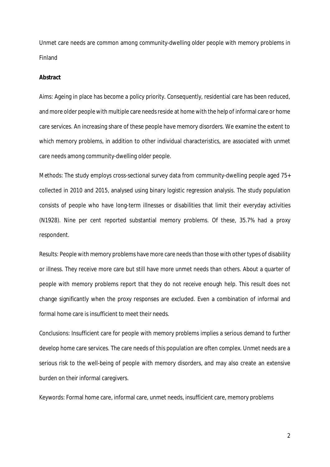Unmet care needs are common among community-dwelling older people with memory problems in Finland

### **Abstract**

*Aims:* Ageing in place has become a policy priority. Consequently, residential care has been reduced, and more older people with multiple care needs reside at home with the help of informal care or home care services. An increasing share of these people have memory disorders. We examine the extent to which memory problems, in addition to other individual characteristics, are associated with unmet care needs among community-dwelling older people.

*Methods:* The study employs cross-sectional survey data from community-dwelling people aged 75+ collected in 2010 and 2015, analysed using binary logistic regression analysis. The study population consists of people who have long-term illnesses or disabilities that limit their everyday activities (N1928). Nine per cent reported substantial memory problems. Of these, 35.7% had a proxy respondent.

*Results:* People with memory problems have more care needs than those with other types of disability or illness. They receive more care but still have more unmet needs than others. About a quarter of people with memory problems report that they do not receive enough help. This result does not change significantly when the proxy responses are excluded. Even a combination of informal and formal home care is insufficient to meet their needs.

*Conclusions:* Insufficient care for people with memory problems implies a serious demand to further develop home care services. The care needs of this population are often complex. Unmet needs are a serious risk to the well-being of people with memory disorders, and may also create an extensive burden on their informal caregivers.

*Keywords:* Formal home care, informal care, unmet needs, insufficient care, memory problems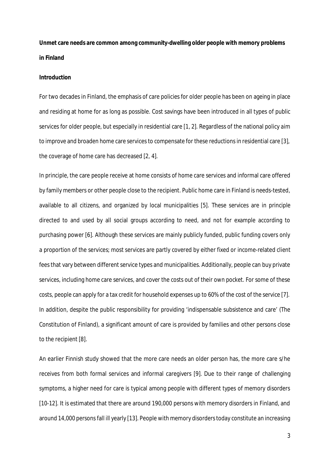**Unmet care needs are common among community-dwelling older people with memory problems in Finland**

#### **Introduction**

For two decades in Finland, the emphasis of care policies for older people has been on ageing in place and residing at home for as long as possible. Cost savings have been introduced in all types of public services for older people, but especially in residential care [1, 2]. Regardless of the national policy aim to improve and broaden home care services to compensate for these reductions in residential care [3], the coverage of home care has decreased [2, 4].

In principle, the care people receive at home consists of home care services and informal care offered by family members or other people close to the recipient. Public home care in Finland is needs-tested, available to all citizens, and organized by local municipalities [5]. These services are in principle directed to and used by all social groups according to need, and not for example according to purchasing power [6]. Although these services are mainly publicly funded, public funding covers only a proportion of the services; most services are partly covered by either fixed or income-related client fees that vary between different service types and municipalities. Additionally, people can buy private services, including home care services, and cover the costs out of their own pocket. For some of these costs, people can apply for a tax credit for household expenses up to 60% of the cost of the service [7]. In addition, despite the public responsibility for providing 'indispensable subsistence and care' (The Constitution of Finland), a significant amount of care is provided by families and other persons close to the recipient [8].

An earlier Finnish study showed that the more care needs an older person has, the more care s/he receives from both formal services and informal caregivers [9]. Due to their range of challenging symptoms, a higher need for care is typical among people with different types of memory disorders [10-12]. It is estimated that there are around 190,000 persons with memory disorders in Finland, and around 14,000 persons fall ill yearly [13]. People with memory disorders today constitute an increasing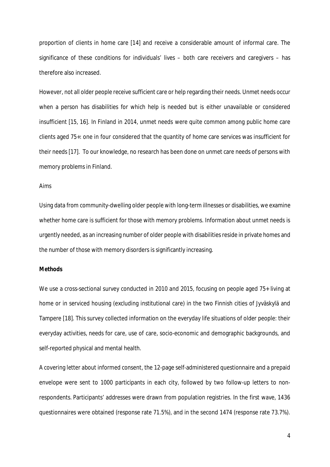proportion of clients in home care [14] and receive a considerable amount of informal care. The significance of these conditions for individuals' lives – both care receivers and caregivers – has therefore also increased.

However, not all older people receive sufficient care or help regarding their needs. Unmet needs occur when a person has disabilities for which help is needed but is either unavailable or considered insufficient [15, 16]. In Finland in 2014, unmet needs were quite common among public home care clients aged 75+: one in four considered that the quantity of home care services was insufficient for their needs [17]. To our knowledge, no research has been done on unmet care needs of persons with memory problems in Finland.

#### *Aims*

Using data from community-dwelling older people with long-term illnesses or disabilities, we examine whether home care is sufficient for those with memory problems. Information about unmet needs is urgently needed, as an increasing number of older people with disabilities reside in private homes and the number of those with memory disorders is significantly increasing.

#### **Methods**

We use a cross-sectional survey conducted in 2010 and 2015, focusing on people aged 75+ living at home or in serviced housing (excluding institutional care) in the two Finnish cities of Jyväskylä and Tampere [18]. This survey collected information on the everyday life situations of older people: their everyday activities, needs for care, use of care, socio-economic and demographic backgrounds, and self-reported physical and mental health.

A covering letter about informed consent, the 12-page self-administered questionnaire and a prepaid envelope were sent to 1000 participants in each city, followed by two follow-up letters to nonrespondents. Participants' addresses were drawn from population registries. In the first wave, 1436 questionnaires were obtained (response rate 71.5%), and in the second 1474 (response rate 73.7%).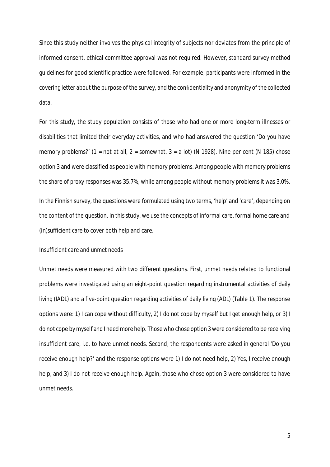Since this study neither involves the physical integrity of subjects nor deviates from the principle of informed consent, ethical committee approval was not required. However, standard survey method guidelines for good scientific practice were followed. For example, participants were informed in the covering letter about the purpose of the survey, and the confidentiality and anonymity of the collected data.

For this study, the study population consists of those who had one or more long-term illnesses or disabilities that limited their everyday activities, and who had answered the question 'Do you have memory problems?' (1 = not at all, 2 = somewhat, 3 = a lot) (N 1928). Nine per cent (N 185) chose option 3 and were classified as people with memory problems. Among people with memory problems the share of proxy responses was 35.7%, while among people without memory problems it was 3.0%. In the Finnish survey, the questions were formulated using two terms, 'help' and 'care', depending on the content of the question. In this study, we use the concepts of informal care, formal home care and

#### *Insufficient care and unmet needs*

(in)sufficient care to cover both help and care.

Unmet needs were measured with two different questions. First, unmet needs related to functional problems were investigated using an eight-point question regarding instrumental activities of daily living (IADL) and a five-point question regarding activities of daily living (ADL) (Table 1). The response options were: 1) I can cope without difficulty, 2) I do not cope by myself but I get enough help, or 3) I do not cope by myself and I need more help. Those who chose option 3 were considered to be receiving insufficient care, i.e. to have unmet needs. Second, the respondents were asked in general 'Do you receive enough help?' and the response options were 1) I do not need help, 2) Yes, I receive enough help, and 3) I do not receive enough help. Again, those who chose option 3 were considered to have unmet needs.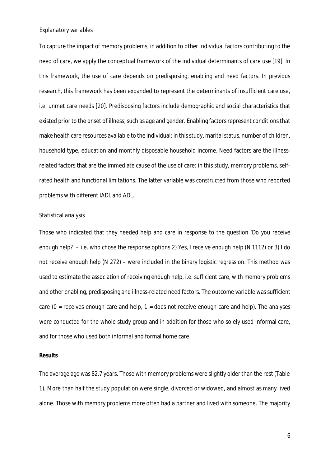## *Explanatory variables*

To capture the impact of memory problems, in addition to other individual factors contributing to the need of care, we apply the conceptual framework of the individual determinants of care use [19]. In this framework, the use of care depends on predisposing, enabling and need factors. In previous research, this framework has been expanded to represent the determinants of insufficient care use, i.e. unmet care needs [20]. Predisposing factors include demographic and social characteristics that existed prior to the onset of illness, such as age and gender. Enabling factors represent conditions that make health care resources available to the individual: in this study, marital status, number of children, household type, education and monthly disposable household income. Need factors are the illnessrelated factors that are the immediate cause of the use of care: in this study, memory problems, selfrated health and functional limitations. The latter variable was constructed from those who reported problems with different IADL and ADL.

# *Statistical analysis*

Those who indicated that they needed help and care in response to the question 'Do you receive enough help?' – i.e. who chose the response options 2) Yes, I receive enough help (N 1112) or 3) I do not receive enough help (N 272) – were included in the binary logistic regression. This method was used to estimate the association of receiving enough help, i.e. sufficient care, with memory problems and other enabling, predisposing and illness-related need factors. The outcome variable was sufficient care  $(0 =$  receives enough care and help,  $1 =$  does not receive enough care and help). The analyses were conducted for the whole study group and in addition for those who solely used informal care, and for those who used both informal and formal home care.

### **Results**

The average age was 82.7 years. Those with memory problems were slightly older than the rest (Table 1). More than half the study population were single, divorced or widowed, and almost as many lived alone. Those with memory problems more often had a partner and lived with someone. The majority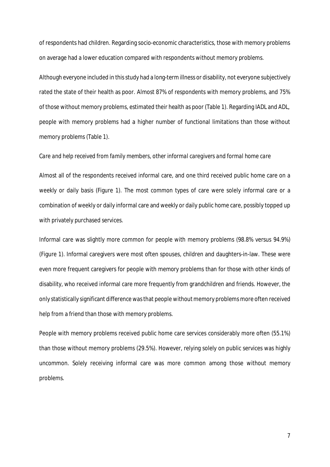of respondents had children. Regarding socio-economic characteristics, those with memory problems on average had a lower education compared with respondents without memory problems.

Although everyone included in this study had a long-term illness or disability, not everyone subjectively rated the state of their health as poor. Almost 87% of respondents with memory problems, and 75% of those without memory problems, estimated their health as poor (Table 1). Regarding IADL and ADL, people with memory problems had a higher number of functional limitations than those without memory problems (Table 1).

#### *Care and help received from family members, other informal caregivers and formal home care*

Almost all of the respondents received informal care, and one third received public home care on a weekly or daily basis (Figure 1). The most common types of care were solely informal care or a combination of weekly or daily informal care and weekly or daily public home care, possibly topped up with privately purchased services.

Informal care was slightly more common for people with memory problems (98.8% versus 94.9%) (Figure 1). Informal caregivers were most often spouses, children and daughters-in-law. These were even more frequent caregivers for people with memory problems than for those with other kinds of disability, who received informal care more frequently from grandchildren and friends. However, the only statistically significant difference was that people without memory problems more often received help from a friend than those with memory problems.

People with memory problems received public home care services considerably more often (55.1%) than those without memory problems (29.5%). However, relying solely on public services was highly uncommon. Solely receiving informal care was more common among those without memory problems.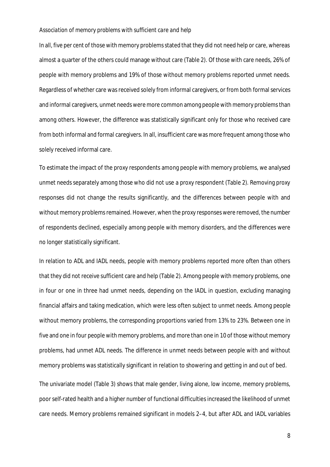#### *Association of memory problems with sufficient care and help*

In all, five per cent of those with memory problems stated that they did not need help or care, whereas almost a quarter of the others could manage without care (Table 2). Of those with care needs, 26% of people with memory problems and 19% of those without memory problems reported unmet needs. Regardless of whether care was received solely from informal caregivers, or from both formal services and informal caregivers, unmet needs were more common among people with memory problems than among others. However, the difference was statistically significant only for those who received care from both informal and formal caregivers. In all, insufficient care was more frequent among those who solely received informal care.

To estimate the impact of the proxy respondents among people with memory problems, we analysed unmet needs separately among those who did not use a proxy respondent (Table 2). Removing proxy responses did not change the results significantly, and the differences between people with and without memory problems remained. However, when the proxy responses were removed, the number of respondents declined, especially among people with memory disorders, and the differences were no longer statistically significant.

In relation to ADL and IADL needs, people with memory problems reported more often than others that they did not receive sufficient care and help (Table 2). Among people with memory problems, one in four or one in three had unmet needs, depending on the IADL in question, excluding managing financial affairs and taking medication, which were less often subject to unmet needs. Among people without memory problems, the corresponding proportions varied from 13% to 23%. Between one in five and one in four people with memory problems, and more than one in 10 of those without memory problems, had unmet ADL needs. The difference in unmet needs between people with and without memory problems was statistically significant in relation to showering and getting in and out of bed.

The univariate model (Table 3) shows that male gender, living alone, low income, memory problems, poor self-rated health and a higher number of functional difficulties increased the likelihood of unmet care needs. Memory problems remained significant in models 2–4, but after ADL and IADL variables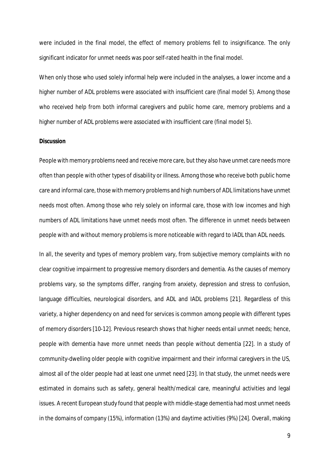were included in the final model, the effect of memory problems fell to insignificance. The only significant indicator for unmet needs was poor self-rated health in the final model.

When only those who used solely informal help were included in the analyses, a lower income and a higher number of ADL problems were associated with insufficient care (final model 5). Among those who received help from both informal caregivers and public home care, memory problems and a higher number of ADL problems were associated with insufficient care (final model 5).

#### **Discussion**

People with memory problems need and receive more care, but they also have unmet care needs more often than people with other types of disability or illness. Among those who receive both public home care and informal care, those with memory problems and high numbers of ADL limitations have unmet needs most often. Among those who rely solely on informal care, those with low incomes and high numbers of ADL limitations have unmet needs most often. The difference in unmet needs between people with and without memory problems is more noticeable with regard to IADL than ADL needs.

In all, the severity and types of memory problem vary, from subjective memory complaints with no clear cognitive impairment to progressive memory disorders and dementia. As the causes of memory problems vary, so the symptoms differ, ranging from anxiety, depression and stress to confusion, language difficulties, neurological disorders, and ADL and IADL problems [21]. Regardless of this variety, a higher dependency on and need for services is common among people with different types of memory disorders [10-12]. Previous research shows that higher needs entail unmet needs; hence, people with dementia have more unmet needs than people without dementia [22]. In a study of community-dwelling older people with cognitive impairment and their informal caregivers in the US, almost all of the older people had at least one unmet need [23]. In that study, the unmet needs were estimated in domains such as safety, general health/medical care, meaningful activities and legal issues. A recent European study found that people with middle-stage dementia had most unmet needs in the domains of company (15%), information (13%) and daytime activities (9%) [24]. Overall, making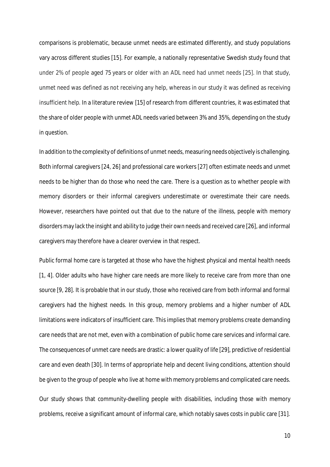comparisons is problematic, because unmet needs are estimated differently, and study populations vary across different studies [15]. For example, a nationally representative Swedish study found that under 2% of people aged 75 years or older with an ADL need had unmet needs [25]. In that study, unmet need was defined as not receiving any help, whereas in our study it was defined as receiving insufficient help. In a literature review [15] of research from different countries, it was estimated that the share of older people with unmet ADL needs varied between 3% and 35%, depending on the study in question.

In addition to the complexity of definitions of unmet needs, measuring needs objectively is challenging. Both informal caregivers [24, 26] and professional care workers [27] often estimate needs and unmet needs to be higher than do those who need the care. There is a question as to whether people with memory disorders or their informal caregivers underestimate or overestimate their care needs. However, researchers have pointed out that due to the nature of the illness, people with memory disorders may lack the insight and ability to judge their own needs and received care [26], and informal caregivers may therefore have a clearer overview in that respect.

Public formal home care is targeted at those who have the highest physical and mental health needs [1, 4]. Older adults who have higher care needs are more likely to receive care from more than one source [9, 28]. It is probable that in our study, those who received care from both informal and formal caregivers had the highest needs. In this group, memory problems and a higher number of ADL limitations were indicators of insufficient care. This implies that memory problems create demanding care needs that are not met, even with a combination of public home care services and informal care. The consequences of unmet care needs are drastic: a lower quality of life [29], predictive of residential care and even death [30]. In terms of appropriate help and decent living conditions, attention should be given to the group of people who live at home with memory problems and complicated care needs.

Our study shows that community-dwelling people with disabilities, including those with memory problems, receive a significant amount of informal care, which notably saves costs in public care [31].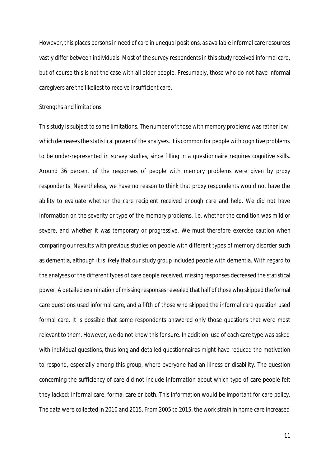However, this places persons in need of care in unequal positions, as available informal care resources vastly differ between individuals. Most of the survey respondents in this study received informal care, but of course this is not the case with all older people. Presumably, those who do not have informal caregivers are the likeliest to receive insufficient care.

#### *Strengths and limitations*

This study is subject to some limitations. The number of those with memory problems was rather low, which decreases the statistical power of the analyses. It is common for people with cognitive problems to be under-represented in survey studies, since filling in a questionnaire requires cognitive skills. Around 36 percent of the responses of people with memory problems were given by proxy respondents. Nevertheless, we have no reason to think that proxy respondents would not have the ability to evaluate whether the care recipient received enough care and help. We did not have information on the severity or type of the memory problems, i.e. whether the condition was mild or severe, and whether it was temporary or progressive. We must therefore exercise caution when comparing our results with previous studies on people with different types of memory disorder such as dementia, although it is likely that our study group included people with dementia. With regard to the analyses of the different types of care people received, missing responses decreased the statistical power. A detailed examination of missing responses revealed that half of those who skipped the formal care questions used informal care, and a fifth of those who skipped the informal care question used formal care. It is possible that some respondents answered only those questions that were most relevant to them. However, we do not know this for sure. In addition, use of each care type was asked with individual questions, thus long and detailed questionnaires might have reduced the motivation to respond, especially among this group, where everyone had an illness or disability. The question concerning the sufficiency of care did not include information about which type of care people felt they lacked: informal care, formal care or both. This information would be important for care policy. The data were collected in 2010 and 2015. From 2005 to 2015, the work strain in home care increased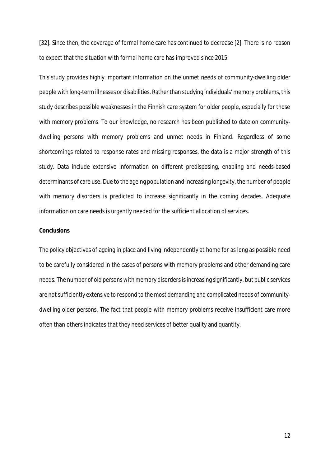[32]. Since then, the coverage of formal home care has continued to decrease [2]. There is no reason to expect that the situation with formal home care has improved since 2015.

This study provides highly important information on the unmet needs of community-dwelling older people with long-term illnesses or disabilities. Rather than studying individuals' memory problems, this study describes possible weaknesses in the Finnish care system for older people, especially for those with memory problems. To our knowledge, no research has been published to date on communitydwelling persons with memory problems and unmet needs in Finland. Regardless of some shortcomings related to response rates and missing responses, the data is a major strength of this study. Data include extensive information on different predisposing, enabling and needs-based determinants of care use. Due to the ageing population and increasing longevity, the number of people with memory disorders is predicted to increase significantly in the coming decades. Adequate information on care needs is urgently needed for the sufficient allocation of services.

#### **Conclusions**

The policy objectives of ageing in place and living independently at home for as long as possible need to be carefully considered in the cases of persons with memory problems and other demanding care needs. The number of old persons with memory disorders is increasing significantly, but public services are not sufficiently extensive to respond to the most demanding and complicated needs of communitydwelling older persons. The fact that people with memory problems receive insufficient care more often than others indicates that they need services of better quality and quantity.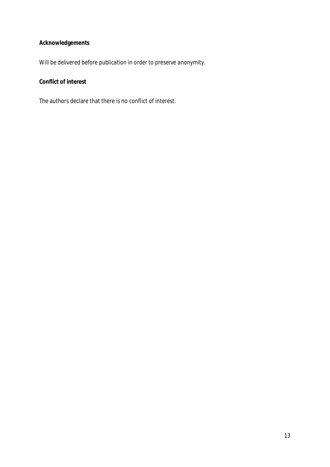# **Acknowledgements**

*Will be delivered before publication in order to preserve anonymity.*

**Conflict of interest**

The authors declare that there is no conflict of interest.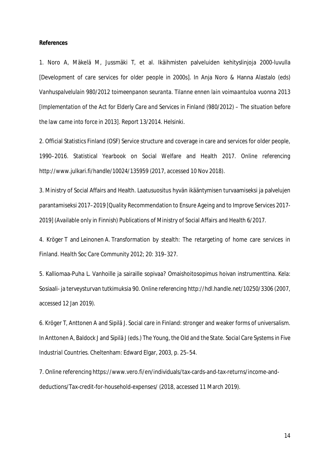**References**

1. Noro A, Mäkelä M, Jussmäki T, et al. Ikäihmisten palveluiden kehityslinjoja 2000-luvulla [Development of care services for older people in 2000s]. In Anja Noro & Hanna Alastalo (eds) *Vanhuspalvelulain 980/2012 toimeenpanon seuranta. Tilanne ennen lain voimaantuloa vuonna 2013 [Implementation of the Act for Elderly Care and Services in Finland (980/2012) – The situation before the law came into force in 2013]*. Report 13/2014. Helsinki.

2. Official Statistics Finland (OSF) Service structure and coverage in care and services for older people, 1990–2016. Statistical Yearbook on Social Welfare and Health 2017. *Online referencing* http://www.julkari.fi/handle/10024/135959 (2017, accessed 10 Nov 2018).

3. Ministry of Social Affairs and Health. Laatusuositus hyvän ikääntymisen turvaamiseksi ja palvelujen parantamiseksi 2017–2019 [Quality Recommendation to Ensure Ageing and to Improve Services 2017- 2019] (Available only in Finnish) Publications of Ministry of Social Affairs and Health 6/2017.

4. Kröger T and Leinonen A. Transformation by stealth: The retargeting of home care services in Finland. *Health Soc Care Community* 2012; 20: 319–327.

5. Kalliomaa-Puha L. Vanhoille ja sairaille sopivaa? Omaishoitosopimus hoivan instrumenttina. Kela: Sosiaali- ja terveysturvan tutkimuksia 90. *Online referencing* http://hdl.handle.net/10250/3306 (2007, accessed 12 Jan 2019).

6. Kröger T, Anttonen A and Sipilä J. Social care in Finland: stronger and weaker forms of universalism. In Anttonen A, Baldock J and Sipilä J (eds.) *The Young, the Old and the State. Social Care Systems in Five Industrial Countrie*s. Cheltenham: Edward Elgar, 2003, p. 25–54.

7. Online referencing https://www.vero.fi/en/individuals/tax-cards-and-tax-returns/income-anddeductions/Tax-credit-for-household-expenses/ (2018, accessed 11 March 2019).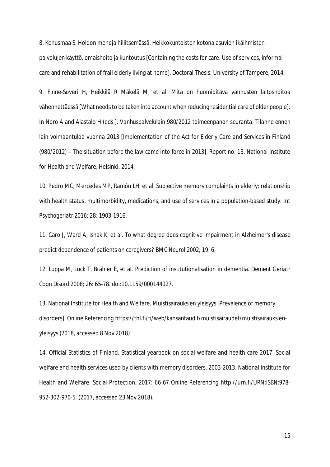8. Kehusmaa S. Hoidon menoja hillitsemässä. Heikkokuntoisten kotona asuvien ikäihmisten palvelujen käyttö, omaishoito ja kuntoutus [Containing the costs for care. Use of services, informal care and rehabilitation of frail elderly living at home]. Doctoral Thesis. University of Tampere, 2014.

9. Finne-Soveri H, Heikkilä R Mäkelä M, et al. Mitä on huomioitava vanhusten laitoshoitoa vähennettäessä [What needs to be taken into account when reducing residential care of older people]. In Noro A and Alastalo H (eds.). *Vanhuspalvelulain 980/2012 toimeenpanon seuranta. Tilanne ennen lain voimaantuloa vuonna 2013 [Implementation of the Act for Elderly Care and Services in Finland (980/2012) – The situation before the law came into force in 2013]*. Report no. 13. National Institute for Health and Welfare, Helsinki, 2014.

10. Pedro MC, Mercedes MP, Ramón LH, et al. Subjective memory complaints in elderly: relationship with health status, multimorbidity, medications, and use of services in a population-based study. *Int Psychogeriatr 2016*; 28: 1903-1916.

11. Caro J, Ward A, Ishak K, et al. To what degree does cognitive impairment in Alzheimer's disease predict dependence of patients on caregivers? *BMC Neurol 2002*; 19: 6.

12. Luppa M, Luck T, Brähler E, et al. Prediction of institutionalisation in dementia. *Dement Geriatr Cogn Disord* 2008; 26: 65-78. doi:10.1159/000144027.

13. National Institute for Health and Welfare. Muistisairauksien yleisyys [Prevalence of memory disorders]. *Online Referencing* https://thl.fi/fi/web/kansantaudit/muistisairaudet/muistisairauksienyleisyys (2018, accessed 8 Nov 2018)

14. Official Statistics of Finland. Statistical yearbook on social welfare and health care 2017. Social welfare and health services used by clients with memory disorders, 2003-2013. National Institute for Health and Welfare. Social Protection, 2017: 66-67 *Online Referencing* http://urn.fi/URN:ISBN:978- 952-302-970-5. (2017, accessed 23 Nov 2018).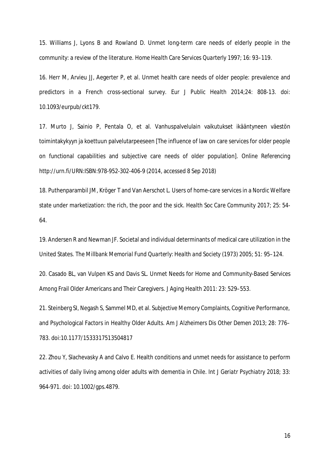15. Williams J, Lyons B and Rowland D. Unmet long-term care needs of elderly people in the community: a review of the literature. *Home Health Care Services Quarterly* 1997; 16: 93–119.

16. Herr M, Arvieu JJ, Aegerter P, et al. Unmet health care needs of older people: prevalence and predictors in a French cross-sectional survey. *Eur J Public Health* 2014;24: 808-13. doi: 10.1093/eurpub/ckt179.

17. Murto J, Sainio P, Pentala O, et al. Vanhuspalvelulain vaikutukset ikääntyneen väestön toimintakykyyn ja koettuun palvelutarpeeseen [The influence of law on care services for older people on functional capabilities and subjective care needs of older population]. *Online Referencing* http://urn.fi/URN:ISBN:978-952-302-406-9 (2014, accessed 8 Sep 2018)

18. Puthenparambil JM, Kröger T and Van Aerschot L. Users of home-care services in a Nordic Welfare state under marketization: the rich, the poor and the sick. *Health Soc Care Community* 2017; 25: 54- 64.

19. Andersen R and Newman JF. Societal and individual determinants of medical care utilization in the United States. *The Millbank Memorial Fund Quarterly: Health and Society* (1973) 2005; 51: 95–124.

20. Casado BL, van Vulpen KS and Davis SL. Unmet Needs for Home and Community-Based Services Among Frail Older Americans and Their Caregivers. *J Aging Health* 2011: 23: 529–553.

21. Steinberg SI, Negash S, Sammel MD, et al. Subjective Memory Complaints, Cognitive Performance, and Psychological Factors in Healthy Older Adults. *Am J Alzheimers Dis Other Demen* 2013; 28: 776– 783. doi:10.1177/1533317513504817

22. Zhou Y, Slachevasky A and Calvo E. Health conditions and unmet needs for assistance to perform activities of daily living among older adults with dementia in Chile. *Int J Geriatr Psychiatry* 2018; 33: 964-971. doi: 10.1002/gps.4879.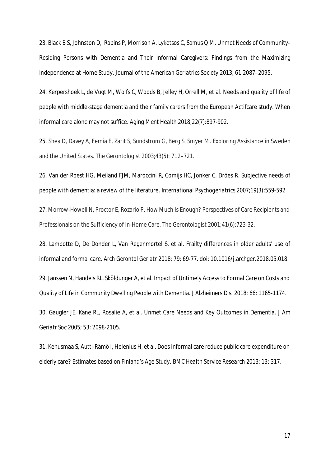23. Black B S, Johnston D, Rabins P, Morrison A, Lyketsos C, Samus Q M. Unmet Needs of Community-Residing Persons with Dementia and Their Informal Caregivers: Findings from the Maximizing Independence at Home Study. *Journal of the American Geriatrics Society* 2013; 61:2087–2095.

24. Kerpershoek L, de Vugt M, Wolfs C, Woods B, Jelley H, Orrell M, et al. Needs and quality of life of people with middle-stage dementia and their family carers from the European Actifcare study. When informal care alone may not suffice. *Aging Ment Health* 2018;22(7):897-902.

25. Shea D, Davey A, Femia E, Zarit S, Sundström G, Berg S, Smyer M. Exploring Assistance in Sweden and the United States. *The Gerontologist* 2003;43(5): 712–721.

26. Van der Roest HG, Meiland FJM, Maroccini R, Comijs HC, Jonker C, Dröes R. Subjective needs of people with dementia: a review of the literature. *International Psychogeriatrics* 2007;19(3):559-592

27. Morrow-Howell N, Proctor E, Rozario P. How Much Is Enough? Perspectives of Care Recipients and Professionals on the Sufficiency of In-Home Care. *The Gerontologist* 2001;41(6):723-32.

28. Lambotte D, De Donder L, Van Regenmortel S, et al. Frailty differences in older adults' use of informal and formal care. *Arch Gerontol Geriatr* 2018; 79: 69-77. doi: 10.1016/j.archger.2018.05.018.

29. Janssen N, Handels RL, Sköldunger A, et al. Impact of Untimely Access to Formal Care on Costs and Quality of Life in Community Dwelling People with Dementia. *J Alzheimers Dis.* 2018; 66: 1165-1174.

30. Gaugler JE, Kane RL, Rosalie A, et al. Unmet Care Needs and Key Outcomes in Dementia. *J Am Geriatr Soc* 2005; 53: 2098-2105.

31. Kehusmaa S, Autti-Rämö I, Helenius H, et al. Does informal care reduce public care expenditure on elderly care? Estimates based on Finland's Age Study. *BMC Health Service Research* 2013; 13: 317.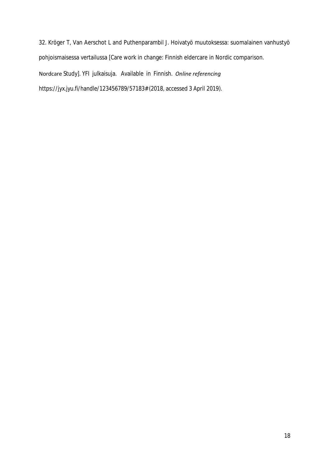Nordcare Study]. YFI julkaisuja. Available in Finnish. *Online referencing*  https://jyx.jyu.fi/handle/123456789/57183# (2018, accessed 3 April 2019). 32. Kröger T, Van Aerschot L and Puthenparambil J. Hoivatyö muutoksessa: suomalainen vanhustyö pohjoismaisessa vertailussa [Care work in change: Finnish eldercare in Nordic comparison.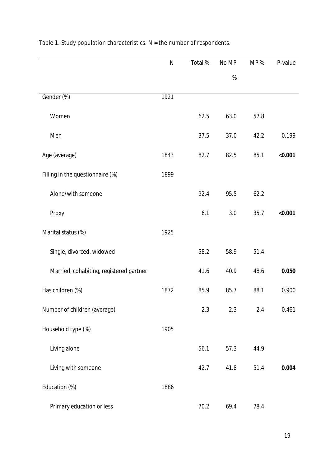|                                         | N    | Total % | No MP | MP%  | P-value |
|-----------------------------------------|------|---------|-------|------|---------|
|                                         |      |         | $\%$  |      |         |
| Gender (%)                              | 1921 |         |       |      |         |
| Women                                   |      | 62.5    | 63.0  | 57.8 |         |
| Men                                     |      | 37.5    | 37.0  | 42.2 | 0.199   |
| Age (average)                           | 1843 | 82.7    | 82.5  | 85.1 | < 0.001 |
| Filling in the questionnaire (%)        | 1899 |         |       |      |         |
| Alone/with someone                      |      | 92.4    | 95.5  | 62.2 |         |
| Proxy                                   |      | 6.1     | 3.0   | 35.7 | < 0.001 |
| Marital status (%)                      | 1925 |         |       |      |         |
| Single, divorced, widowed               |      | 58.2    | 58.9  | 51.4 |         |
| Married, cohabiting, registered partner |      | 41.6    | 40.9  | 48.6 | 0.050   |
| Has children (%)                        | 1872 | 85.9    | 85.7  | 88.1 | 0.900   |
| Number of children (average)            |      | 2.3     | 2.3   | 2.4  | 0.461   |
| Household type (%)                      | 1905 |         |       |      |         |
| Living alone                            |      | 56.1    | 57.3  | 44.9 |         |
| Living with someone                     |      | 42.7    | 41.8  | 51.4 | 0.004   |
| Education (%)                           | 1886 |         |       |      |         |
| Primary education or less               |      | 70.2    | 69.4  | 78.4 |         |

# Table 1. Study population characteristics. *N = the number of respondents.*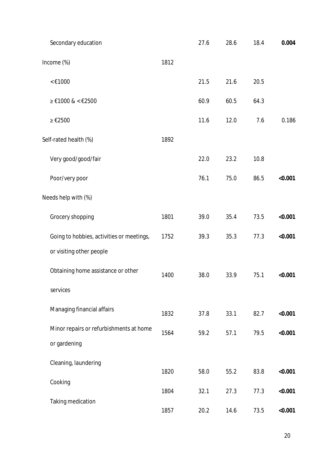| Secondary education                       |      | 27.6 | 28.6 | 18.4 | 0.004   |
|-------------------------------------------|------|------|------|------|---------|
| Income (%)                                | 1812 |      |      |      |         |
| $<$ €1000                                 |      | 21.5 | 21.6 | 20.5 |         |
| $≥ €1000 < €2500$                         |      | 60.9 | 60.5 | 64.3 |         |
| $≥ €2500$                                 |      | 11.6 | 12.0 | 7.6  | 0.186   |
| Self-rated health (%)                     | 1892 |      |      |      |         |
| Very good/good/fair                       |      | 22.0 | 23.2 | 10.8 |         |
| Poor/very poor                            |      | 76.1 | 75.0 | 86.5 | < 0.001 |
| Needs help with (%)                       |      |      |      |      |         |
| Grocery shopping                          | 1801 | 39.0 | 35.4 | 73.5 | < 0.001 |
| Going to hobbies, activities or meetings, | 1752 | 39.3 | 35.3 | 77.3 | < 0.001 |
| or visiting other people                  |      |      |      |      |         |
| Obtaining home assistance or other        | 1400 | 38.0 | 33.9 | 75.1 | < 0.001 |
| services                                  |      |      |      |      |         |
| Managing financial affairs                | 1832 | 37.8 | 33.1 | 82.7 | < 0.001 |
| Minor repairs or refurbishments at home   | 1564 | 59.2 | 57.1 | 79.5 | < 0.001 |
| or gardening                              |      |      |      |      |         |
| Cleaning, laundering                      | 1820 | 58.0 | 55.2 | 83.8 | < 0.001 |
| Cooking                                   | 1804 | 32.1 | 27.3 | 77.3 | < 0.001 |
| Taking medication                         |      |      |      |      |         |
|                                           | 1857 | 20.2 | 14.6 | 73.5 | < 0.001 |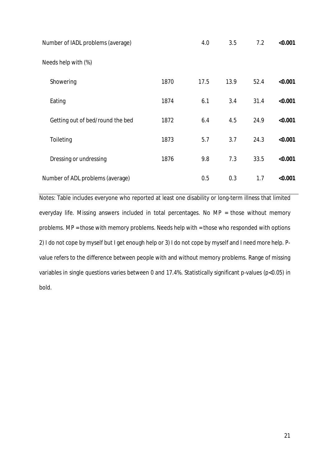| Number of IADL problems (average) |      | 4.0  | 3.5  | 7.2  | < 0.001 |
|-----------------------------------|------|------|------|------|---------|
| Needs help with (%)               |      |      |      |      |         |
| Showering                         | 1870 | 17.5 | 13.9 | 52.4 | < 0.001 |
| Eating                            | 1874 | 6.1  | 3.4  | 31.4 | < 0.001 |
| Getting out of bed/round the bed  | 1872 | 6.4  | 4.5  | 24.9 | < 0.001 |
| Toileting                         | 1873 | 5.7  | 3.7  | 24.3 | < 0.001 |
| Dressing or undressing            | 1876 | 9.8  | 7.3  | 33.5 | < 0.001 |
| Number of ADL problems (average)  |      | 0.5  | 0.3  | 1.7  | < 0.001 |

Notes: Table includes everyone who reported at least one disability or long-term illness that limited everyday life. Missing answers included in total percentages. No MP = those without memory problems. MP = those with memory problems. Needs help with = those who responded with options 2) I do not cope by myself but I get enough help or 3) I do not cope by myself and I need more help. Pvalue refers to the difference between people with and without memory problems. Range of missing variables in single questions varies between 0 and 17.4%. Statistically significant p-values (p<0.05) in bold.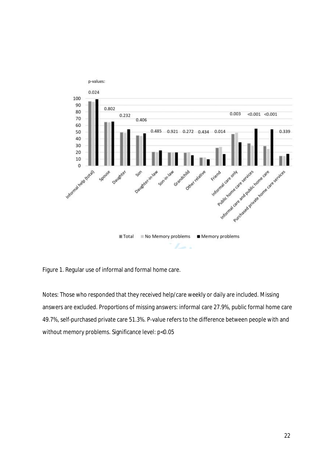

Figure 1. Regular use of informal and formal home care.

Notes: Those who responded that they received help/care weekly or daily are included. Missing answers are excluded. Proportions of missing answers: informal care 27.9%, public formal home care 49.7%, self-purchased private care 51.3%. P-value refers to the difference between people with and without memory problems. Significance level: p<0.05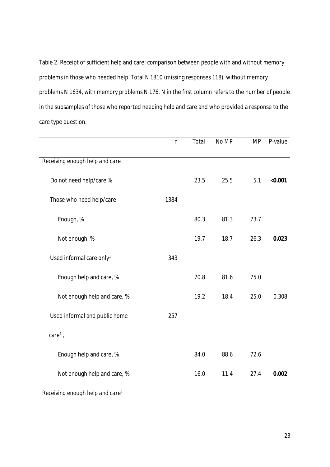Table 2. Receipt of sufficient help and care: comparison between people with and without memory problems in those who needed help. Total N 1810 (missing responses 118), without memory problems N 1634, with memory problems N 176. N in the first column refers to the number of people in the subsamples of those who reported needing help and care and who provided a response to the care type question.

|                                             | $\mathsf{n}$ | Total | No MP | <b>MP</b> | P-value |
|---------------------------------------------|--------------|-------|-------|-----------|---------|
| Receiving enough help and care              |              |       |       |           |         |
| Do not need help/care %                     |              | 23.5  | 25.5  | 5.1       | < 0.001 |
| Those who need help/care                    | 1384         |       |       |           |         |
| Enough, %                                   |              | 80.3  | 81.3  | 73.7      |         |
| Not enough, %                               |              | 19.7  | 18.7  | 26.3      | 0.023   |
| Used informal care only <sup>1</sup>        | 343          |       |       |           |         |
| Enough help and care, %                     |              | 70.8  | 81.6  | 75.0      |         |
| Not enough help and care, %                 |              | 19.2  | 18.4  | 25.0      | 0.308   |
| Used informal and public home               | 257          |       |       |           |         |
| $care1$ ,                                   |              |       |       |           |         |
| Enough help and care, %                     |              | 84.0  | 88.6  | 72.6      |         |
| Not enough help and care, %                 |              | 16.0  | 11.4  | 27.4      | 0.002   |
| Receiving enough help and care <sup>2</sup> |              |       |       |           |         |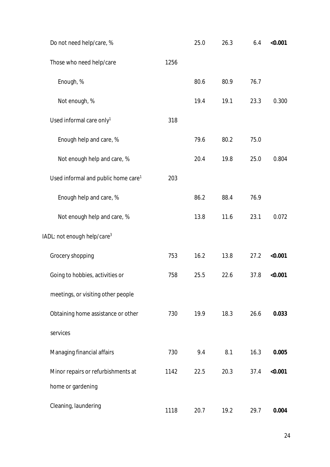| Do not need help/care, %                        |      | 25.0 | 26.3 | 6.4  | < 0.001 |
|-------------------------------------------------|------|------|------|------|---------|
| Those who need help/care                        | 1256 |      |      |      |         |
| Enough, %                                       |      | 80.6 | 80.9 | 76.7 |         |
| Not enough, %                                   |      | 19.4 | 19.1 | 23.3 | 0.300   |
| Used informal care only <sup>1</sup>            | 318  |      |      |      |         |
| Enough help and care, %                         |      | 79.6 | 80.2 | 75.0 |         |
| Not enough help and care, %                     |      | 20.4 | 19.8 | 25.0 | 0.804   |
| Used informal and public home care <sup>1</sup> | 203  |      |      |      |         |
| Enough help and care, %                         |      | 86.2 | 88.4 | 76.9 |         |
| Not enough help and care, %                     |      | 13.8 | 11.6 | 23.1 | 0.072   |
| IADL: not enough help/care <sup>3</sup>         |      |      |      |      |         |
| Grocery shopping                                | 753  | 16.2 | 13.8 | 27.2 | < 0.001 |
| Going to hobbies, activities or                 | 758  | 25.5 | 22.6 | 37.8 | < 0.001 |
| meetings, or visiting other people              |      |      |      |      |         |
| Obtaining home assistance or other              | 730  | 19.9 | 18.3 | 26.6 | 0.033   |
| services                                        |      |      |      |      |         |
| Managing financial affairs                      | 730  | 9.4  | 8.1  | 16.3 | 0.005   |
| Minor repairs or refurbishments at              | 1142 | 22.5 | 20.3 | 37.4 | < 0.001 |
| home or gardening                               |      |      |      |      |         |
| Cleaning, laundering                            | 1118 | 20.7 | 19.2 | 29.7 | 0.004   |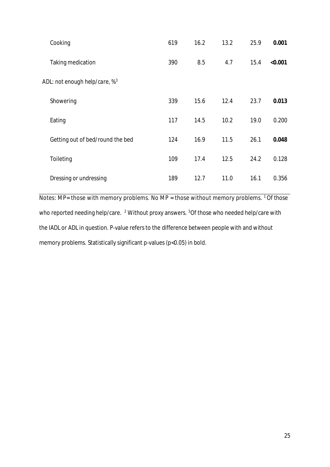| Cooking                           | 619 | 16.2 | 13.2 | 25.9 | 0.001   |
|-----------------------------------|-----|------|------|------|---------|
| Taking medication                 | 390 | 8.5  | 4.7  | 15.4 | < 0.001 |
| ADL: not enough help/care, $\%^3$ |     |      |      |      |         |
| Showering                         | 339 | 15.6 | 12.4 | 23.7 | 0.013   |
| Eating                            | 117 | 14.5 | 10.2 | 19.0 | 0.200   |
| Getting out of bed/round the bed  | 124 | 16.9 | 11.5 | 26.1 | 0.048   |
| Toileting                         | 109 | 17.4 | 12.5 | 24.2 | 0.128   |
| Dressing or undressing            | 189 | 12.7 | 11.0 | 16.1 | 0.356   |

Notes: MP= those with memory problems. No MP = those without memory problems. <sup>1</sup>Of those who reported needing help/care. <sup>2</sup> Without proxy answers. <sup>3</sup>Of those who needed help/care with the IADL or ADL in question. P-value refers to the difference between people with and without memory problems. Statistically significant p-values (p<0.05) in bold.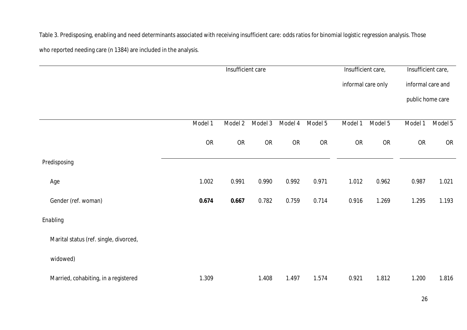Table 3. Predisposing, enabling and need determinants associated with receiving insufficient care: odds ratios for binomial logistic regression analysis. Those

who reported needing care (n 1384) are included in the analysis.

|                                        | Insufficient care |         |         |                    |           | Insufficient care, |         | Insufficient care, |           |
|----------------------------------------|-------------------|---------|---------|--------------------|-----------|--------------------|---------|--------------------|-----------|
|                                        |                   |         |         | informal care only |           | informal care and  |         |                    |           |
|                                        |                   |         |         |                    |           |                    |         | public home care   |           |
|                                        | Model 1           | Model 2 | Model 3 | Model 4            | Model 5   | Model 1            | Model 5 | Model 1            | Model 5   |
|                                        | <b>OR</b>         | OR      | OR      | <b>OR</b>          | <b>OR</b> | OR                 | OR      | ${\sf OR}$         | <b>OR</b> |
| Predisposing                           |                   |         |         |                    |           |                    |         |                    |           |
| Age                                    | 1.002             | 0.991   | 0.990   | 0.992              | 0.971     | 1.012              | 0.962   | 0.987              | 1.021     |
| Gender (ref. woman)                    | 0.674             | 0.667   | 0.782   | 0.759              | 0.714     | 0.916              | 1.269   | 1.295              | 1.193     |
| Enabling                               |                   |         |         |                    |           |                    |         |                    |           |
| Marital status (ref. single, divorced, |                   |         |         |                    |           |                    |         |                    |           |
| widowed)                               |                   |         |         |                    |           |                    |         |                    |           |
| Married, cohabiting, in a registered   | 1.309             |         | 1.408   | 1.497              | 1.574     | 0.921              | 1.812   | 1.200              | 1.816     |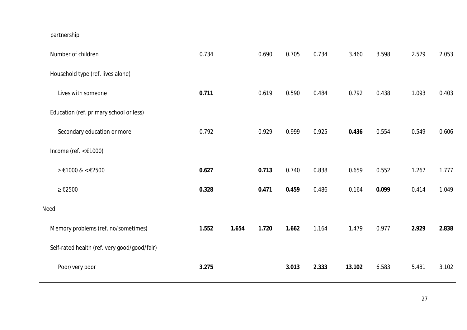# partnership

| Number of children                           | 0.734 |       | 0.690 | 0.705 | 0.734 | 3.460  | 3.598 | 2.579 | 2.053 |
|----------------------------------------------|-------|-------|-------|-------|-------|--------|-------|-------|-------|
| Household type (ref. lives alone)            |       |       |       |       |       |        |       |       |       |
| Lives with someone                           | 0.711 |       | 0.619 | 0.590 | 0.484 | 0.792  | 0.438 | 1.093 | 0.403 |
| Education (ref. primary school or less)      |       |       |       |       |       |        |       |       |       |
| Secondary education or more                  | 0.792 |       | 0.929 | 0.999 | 0.925 | 0.436  | 0.554 | 0.549 | 0.606 |
| Income (ref. $<$ €1000)                      |       |       |       |       |       |        |       |       |       |
| $≥ €1000 < €2500$                            | 0.627 |       | 0.713 | 0.740 | 0.838 | 0.659  | 0.552 | 1.267 | 1.777 |
| $≥ €2500$                                    | 0.328 |       | 0.471 | 0.459 | 0.486 | 0.164  | 0.099 | 0.414 | 1.049 |
| Need                                         |       |       |       |       |       |        |       |       |       |
| Memory problems (ref. no/sometimes)          | 1.552 | 1.654 | 1.720 | 1.662 | 1.164 | 1.479  | 0.977 | 2.929 | 2.838 |
| Self-rated health (ref. very good/good/fair) |       |       |       |       |       |        |       |       |       |
| Poor/very poor                               | 3.275 |       |       | 3.013 | 2.333 | 13.102 | 6.583 | 5.481 | 3.102 |